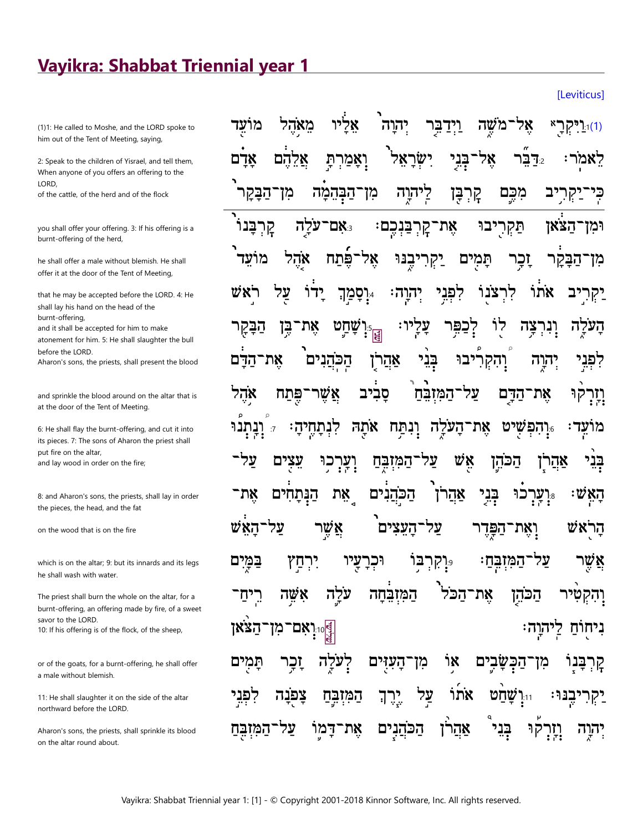## Vayikra: Shabbat Triennial year 1

(1)1: He called to Moshe, and the LORD spoke to him out of the Tent of Meeting, saying,

2: Speak to the children of Yisrael, and tell them, When anyone of you offers an offering to the LORD.

of the cattle, of the herd and of the flock

you shall offer your offering. 3: If his offering is a burnt-offering of the herd,

he shall offer a male without blemish. He shall offer it at the door of the Tent of Meeting,

that he may be accepted before the LORD. 4: He shall lay his hand on the head of the burnt-offering,

and it shall be accepted for him to make

atonement for him. 5: He shall slaughter the bull before the LORD.

Aharon's sons, the priests, shall present the blood

and sprinkle the blood around on the altar that is at the door of the Tent of Meeting.

6: He shall flay the burnt-offering, and cut it into its pieces. 7: The sons of Aharon the priest shall put fire on the altar, and lay wood in order on the fire;

8: and Aharon's sons, the priests, shall lay in order the pieces, the head, and the fat

on the wood that is on the fire

which is on the altar; 9: but its innards and its legs he shall wash with water.

The priest shall burn the whole on the altar, for a burnt-offering, an offering made by fire, of a sweet savor to the LORD. 10: If his offering is of the flock, of the sheep,

or of the goats, for a burnt-offering, he shall offer a male without blemish.

11: He shall slaughter it on the side of the altar northward before the LORD.

Aharon's sons, the priests, shall sprinkle its blood on the altar round about.

| וּוּרַיִּקְרָ״ אָל־מֹשֶׁה וַיְדַבְּרָ יְהוָה אֲלָיוּ מֵא <sub>ָ</sub> ׂהָל מוֹעֲד                                    |
|----------------------------------------------------------------------------------------------------------------------|
| <sup>ל</sup> ָאמֹרः ۦּדַבֵּ֫ר אֶל־בְּנִי יִשְׂרָאֵל <sup>י</sup> וְאָמַרְתָּ אֲלֵהֶם אָדָם                           |
| כְּי־יַקְרִיב מִכֶּם קָרְבֶּן לְיתִוֶה מִו־הַבְּהֵמָּה מִו־הַבָּקִר <sup>י</sup>                                     |
| וּמִן־הַצֹּאוּ תַּקְרָיבוּ אֶת־קָרְבַּנְכֶם: צִּאָם־עֹלְָה קָרְבָּנו <sup>ּי</sup>                                   |
| מִן־הַבָּקָר וָבְר תָּמְיִם יַקְרִיבֶנּוּ אֶל־פֶּ֫תַח אָׂהֶל מוֹעֵד <sup>י</sup>                                     |
| יַקְרִיִּב אֹתוֹ לִרְצֹנֻוֹ לִפְגִי יְהוְה: <sub>"</sub> וְסָמַךְ יָדוֹ עֲל רֹאַשׁ                                   |
| <b>הָעֹלֶה וְנִרְצָה לְוֹ יְצַפִּר עָלְיו: זְּוָשָׁחָט אֶת־בֶּן הַבָּקֶר</b>                                         |
| לִפְּנֵי יְהִיֶה וְהִקְרִיבוּ בְּנֵ <sup>ׂ,</sup> אַהֲרֹוָ הַכְּהֲנִים <sup>ּ</sup> אֶת־הַדָּם                       |
| וָיָרְקוּ אֶת־הַדָּם עַל־הַמִּזְבֵּהַ סָבִיב אֲשֶׁר־פֶּתַח אָהֶל                                                     |
| מוֹאֶד <sup>ָּ</sup> יְּיָהִפְּשָׁיט אֶת־הָעֹלֶה וָנִתַּח אֹתָהּ לִנְתַחֶיהַ <sup>, "1</sup> וָנְתְנ <sup>ֹ</sup> וּ |
| בְּנֵי אַהֲרָן הַכֹּהֶן אֵֻשׁ עַל־הַמִּזְבֶּחַ וְעָרְכִוּ עֵצָיִם עַל־                                               |
| הָאִֽֽשׁः <sub>፨</sub> יְעְרְכוּ בְּנִי אַהֲרֹן הַכֹּהֲנִים אֵת הַנְּתָחִים אֶת־                                     |
| הָרָאשׁ וְאֶת־הַפְּּדֶר עַל־הָעֵצִים <sup>ֶ</sup> אֲשֶר עַל־הָאֵּשׁ                                                  |
| אֲשֶׁר עַל־הַמִּזְבְּחַ: <sub>יּ</sub> יְקִרְבִּוֹ וּכְרָצָיו יִרְחַץ <sub>ٌ</sub> בַּמְּיִם                         |
| וָהִקְטִּיר הַכֹּהָן אֶת־הַכֹּל <sup>י</sup> הַמִּזְבֵּחָה עֹלֶה אָשֶׁה רֵיִחַ־                                      |
| <sub>ְ</sub> ּוֹיְיָאָם־מִן־הַצֹּאן<br>ּ נִיחֻוֹּחַ לְיהוֶה                                                          |
| קְרְבָּנָי מִן־הַכְּשָׂבְיָם אָוֹ מִן־הָעִוָּים לְעֹלֶה זָכְר תָּמִים                                                |
| יַקְרִיכֶּנּוּּ וּיִּוְשָׁחַט אֹתוֹ עַל יֶרֶךְ הַמִּזְבֶּחַ צָּפֹּנָה לִפְּנֵי                                       |
| יְהֹרֶה וְיָדְקֹוּ בְּנִי אַהֲרֹן הַכּהֲנָיָם אֶת־דָּמְוֹ עַל־הַמִּזְבֶּחַ                                           |

[Leviticus]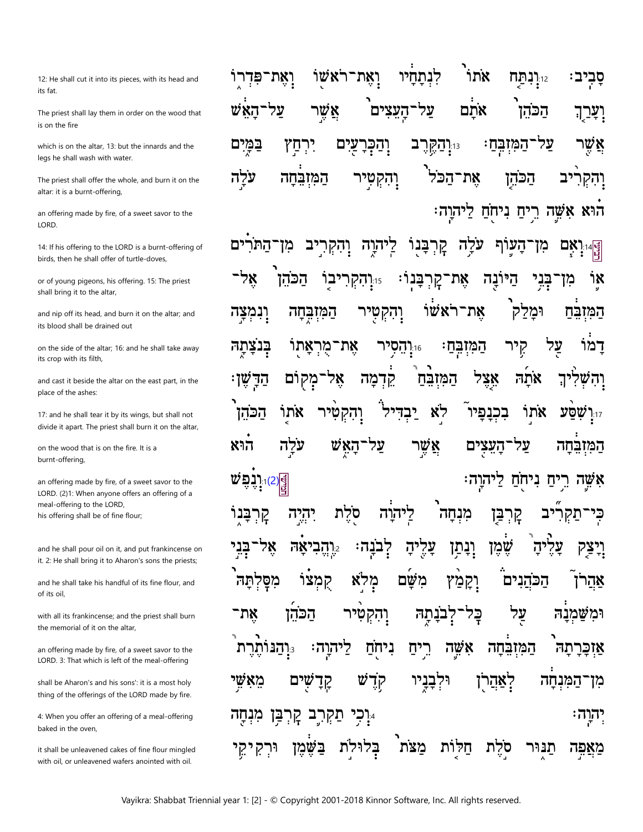12: He shall cut it into its pieces, with its head and its fat.

The priest shall lay them in order on the wood that is on the fire

which is on the altar, 13: but the innards and the legs he shall wash with water.

The priest shall offer the whole, and burn it on the altar: it is a burnt-offering,

an offering made by fire, of a sweet savor to the LORD.

14: If his offering to the LORD is a burnt-offering of birds, then he shall offer of turtle-doves,

or of young pigeons, his offering. 15: The priest shall bring it to the altar,

and nip off its head, and burn it on the altar; and its blood shall be drained out

on the side of the altar; 16: and he shall take away its crop with its filth,

and cast it beside the altar on the east part, in the place of the ashes:

17: and he shall tear it by its wings, but shall not divide it apart. The priest shall burn it on the altar,

on the wood that is on the fire. It is a burnt-offering,

an offering made by fire, of a sweet savor to the LORD. (2)1: When anyone offers an offering of a meal-offering to the LORD, his offering shall be of fine flour;

and he shall pour oil on it, and put frankincense on it. 2: He shall bring it to Aharon's sons the priests;

and he shall take his handful of its fine flour, and of its oil

with all its frankincense; and the priest shall burn the memorial of it on the altar.

an offering made by fire, of a sweet savor to the LORD. 3: That which is left of the meal-offering

shall be Aharon's and his sons': it is a most holy thing of the offerings of the LORD made by fire.

4: When you offer an offering of a meal-offering baked in the oven.

it shall be unleavened cakes of fine flour mingled with oil, or unleavened wafers anointed with oil.

אתו שו לנתחיו ואת־רא 11.12 **הח** ואת־פּד האש על אשׁר העצים על אתם הכהן <sub>13.</sub>וַהַקֶּרֶב <u>ֿהמִזְבֵּחַ</u> על במים יִרְחַץ עים וַהַכּר אשו עלה וָהִקְטִיר את־הכֹל הכהן המזבחה יב והקר הוא אִשֶּׁה רֵיחַ נִיחֹחַ לַיהוַה:

DX 1:14 קרבּנוֹ ים התר ליהוה עלה עוף מז וֲהָקְרִיב הַיּוֹנְה קַרְבָּנוֹ הכהַן ٦χ 7X יבו 15:**יִהְקְרָ** אֵת־ <u>ׁבָנִי</u> מז את־רֹאשׁוֹ וָנְמִצָה וּמלק המזבח טיר המובחה והק הַמְזְבִּחַ על קִיר בִּנְצָתָה דמו אתו מר את־ 1<sup>:</sup>נ**הסיר** שן: אַצֵל אתה אָל והש הַדַּ מקום קֵדְמָה המזבח לא אתו יבדיל בכנפיו אתר שסע הכהו והקטיר ]·17 הוא עלה האש אשר על העצים המזבחה  $\vec{w}$ בֶּלָע הוֹבֶ ּהוה ניחח אשה ריח סלת מנחה קִרְבָּנוּ ליהוה יהיה קרִ⊊ּן עַלִיהַ וִנְתַן אל ክአ והב? <u>נה:</u> שמו יה קִמְצוֹ מסלתה משם לא ۳ וַקַמַּץ הכהנים אהר על הכהו את־ וָהִקְטִיר נתה כל ומשמנה אשה והנותרת. ליהוה: המובחה ניחח ריח אַזַכַּרַתַה וּלִבְנַיו לאהַרן מאשי ם קַדָ W קדֻ המנחה מז תַקִּרֶב קָרִבֵּן יְהוָה מִנְחַה בלולת מצת חלות סרֻת תנוּר מאפה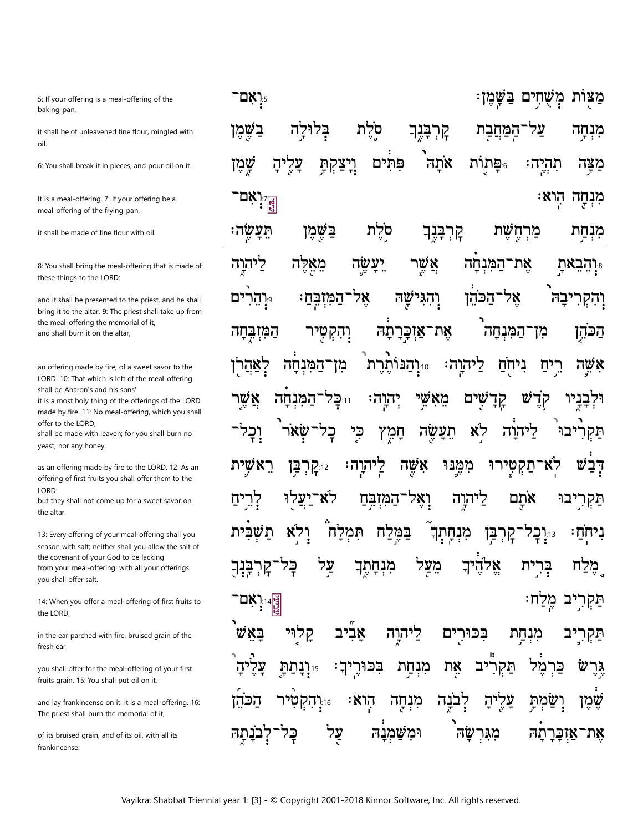5: If your offering is a meal-offering of the baking-pan,

it shall be of unleavened fine flour, mingled with oil.

6: You shall break it in pieces, and pour oil on it.

It is a meal-offering. 7: If your offering be a meal-offering of the frying-pan,

it shall be made of fine flour with oil.

8: You shall bring the meal-offering that is made of these things to the LORD:

and it shall be presented to the priest, and he shall bring it to the altar. 9: The priest shall take up from the meal-offering the memorial of it, and shall burn it on the altar,

an offering made by fire, of a sweet savor to the LORD. 10: That which is left of the meal-offering shall be Aharon's and his sons':

it is a most holy thing of the offerings of the LORD made by fire. 11: No meal-offering, which you shall offer to the LORD,

shall be made with leaven; for you shall burn no yeast, nor any honey,

as an offering made by fire to the LORD. 12: As an offering of first fruits you shall offer them to the LORD:

but they shall not come up for a sweet savor on the altar.

13: Every offering of your meal-offering shall you season with salt; neither shall you allow the salt of the covenant of your God to be lacking from your meal-offering: with all your offerings you shall offer salt.

14: When you offer a meal-offering of first fruits to the LORD,

in the ear parched with fire, bruised grain of the fresh ear

you shall offer for the meal-offering of your first fruits grain. 15: You shall put oil on it,

and lay frankincense on it: it is a meal-offering. 16: The priest shall burn the memorial of it,

of its bruised grain, and of its oil, with all its frankincense<sup>.</sup>

| ּמַצַּוֹת מְשָׁחִָים בַּשָּׁמֶן<br>ן <b>אָם־</b>                                                                    |
|---------------------------------------------------------------------------------------------------------------------|
| ּמִּנְחָה עַל־הַמַּחֲבָת קָרְבָּגֶךְ סָיֶלת בְּלוּלָה בַשֶּׁמֶן                                                     |
| <b>ַ</b> מַצָּה תִהְיֶהः <sub>∘ּ</sub> פָּתְוֹת אֹתָה <sup>ֶ</sup> פִּתְוֹים וְיָצַקְתָּ עָלֶיהָ שֶׁמֶן             |
| די:<br> a  a  37<br>מִּנְחָָה הְוא                                                                                  |
| <mark>ּ</mark><br>מִּבְחַַת מַרְחֶשֶׁת קְרְבָּגֶךְ סֹלֶת בַּשֶּׁמֶן תֵּעֲשֶׂה                                       |
| יָּרְהָבֵאתָ אֶת־הַמִּנְחָה אֲשֶר יֵעֲשֶׂה מֵאָלֶּה לַיֹּהוֶרָה                                                     |
| וָהִקְרִיבָה <sup>ֶ</sup> אָל־הַכּהֵ֫ן וְהִגִּישָׁהּ אֶל־הַמִּזְבְּחַ׃ <sub>°</sub> ּוְהֵרִים                       |
| ֿ הַכּׂהֶן מִן־הַמִּנְחָה אָת־אַזְכְּרָתָה וְהִקְטְיר הַמִּזְב੍ְּחָה                                                |
| אָשֶה רֵיִיַם נִיחֻׂםַ לַיהוֶה: <sub>יי</sub> ּוְהַנּוֹתֶרֶת מִן־הַמִּנְחָה לְאַהֲרֹן                               |
| וּלְבָבְיוּ קָדֶשׁ קְדָשָׁים מֵאָ <i>שֶׁי</i> יְהִוְה <sup>ָ</sup> וּוּבְּל־הַמִּנְחָה אֲשֶׁר                       |
| תַּקְרִיּבוּ לַיּהוָה לָא תֵעָשֶׂה חָמֶץ כִּי בָל־שָׂאֹר <sup>י</sup> וָבָל־                                        |
| דְּבִשׁ לְאֹ־תַקְטְיָרוּ מִמֶּנּוּ אִשֶּׁה לְיהוָה: <sub>ּוֹ</sub> קְרְבָּן רֵאשָׁיָת                               |
| תַּקְרִיבוּ אֹתָם לַיהוֶה וְאָל־הַמִּזְבְּחַ לֹא־יַצְלַוּ לְרֵיחַ                                                   |
| <del>ו</del> ֹיַחְׂיַז <sub>ּ"</sub> וָבְל־קָרְבַּן מִנְחָתְךָ בַּמֶּלַח תִּמְלָח וָלִא <sub>ْ</sub> תַּשְּׁבִּית   |
| ַמָּלַח בְּרִיַּת אֱלֹהֶיךָ מֵעֲל מִנְחָתֶ <del>ן</del> עַל בְּל־קְרְבִּנְךָ                                        |
| ִתַּקְרִיב מֶלַח:<br><u>ין</u> אָם"<br> a                                                                           |
| תַּקְרִיֶּב מִׂנְחַת בִּכּוּרִיִּם לַיהוֶה אָבִּיב קָלְוִּי בָּאֵשׁ                                                 |
| גָּרֶשׁ כַּרְמֶל תַּקְרִ <mark>יּב אֶת מִנְחָת בִּכּוּ</mark> רֶיךָ: <sub>יּוּ</sub> וָנָתַתָּ עָלֶיהָ <sup>י</sup> |
| ּשֶׁמֶן וְשַׂמְתָּ עָלֶיהָ לְבֹנֶה מִנְחָה הְו <b>ֹא</b> ּ <sub>יֹו</sub> ּוְהִקְטִּיר הַכֹּהֵן                     |
| אֶת־אַזְבָּרָתָה מִגִּרְשָׂה וּמִשַּׁמְנָהּ עֲל בְּל־לְבֹנָתֶה                                                      |